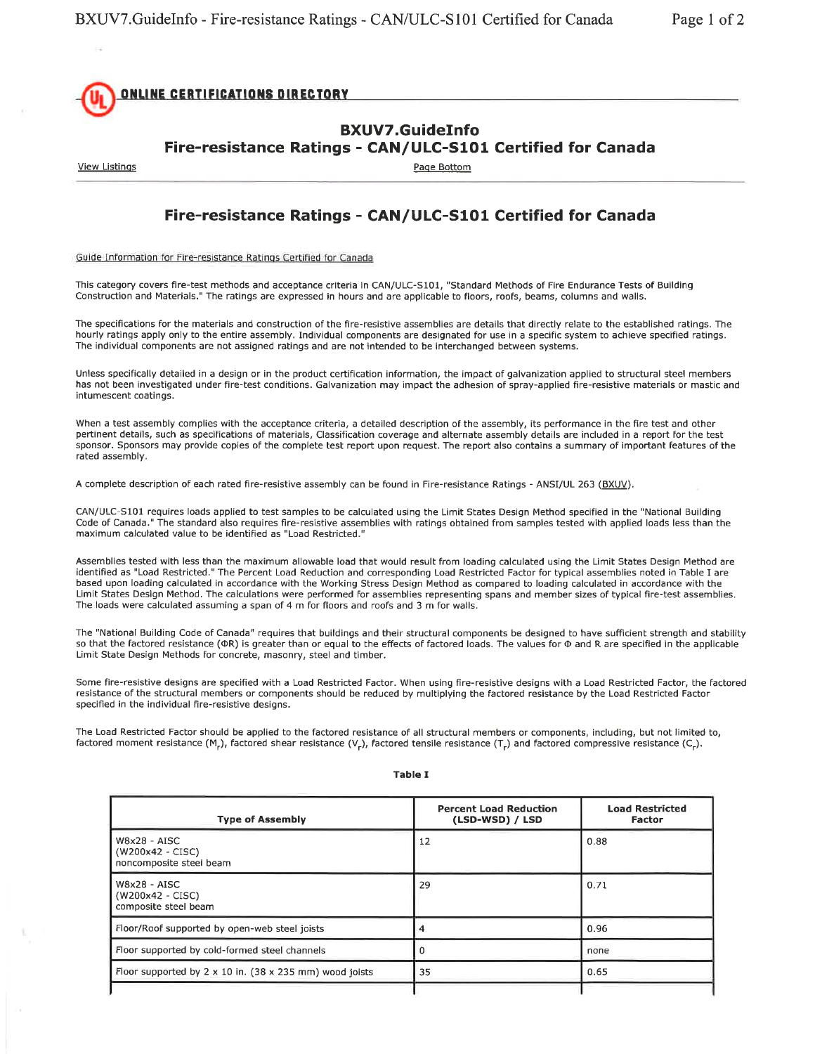

## BXUVT.GuideInfo Fire-resistance Ratings - CAN/ULC-S10l Certified for Canada

**View Listings** 

Page Bottom

## Fire-resistance Ratings - CAN/ULC-S101 Certified for Canada

Guide Information for Fire-resistance Ratings Certified for Canada

This category covers fire-test methods and acceptance criteria in CAN/ULC-S101, "Standard Methods of Fire Endurance Tests of Building Construction and Materials." The ratings are expressed in hours and are applicable to floors, roofs, beams, columns and walls.

The specifications for the materials and construction of the fire-resistive assemblies are details that directly relate to the established ratings. The hourly ratings apply only to the entire assembly. Individual components are designated for use in a specific system to achieve specified ratings. The individual components are not assigned ratings and are not intended to be interchanged between systems.

Unless specifically detailed in a design or in the product certification information, the impact of galvanization applied to structural steel members has not been investigated under fire-test conditions. Galvanization may impact the adhesion of spray-applied fire-resistive materials or mastic and intumescent coatings.

When a test assembly complies with the acceptance criteria, a detailed description of the assembly, its performance in the fire test and other pertinent details. such as specifications of materials, Classiflcation coverage and alternate assembly details are included in a report for the test sponsor. Sponsors may provide copies of the complete test report upon request. The report also contains a summary of important features of the rated assembly.

A complete description of each rated fire-resistive assembly can be found in Fire-resistance Ratings - ANSI/UL 263 (BXUV).

CAN/ULC-S101 requires loads applied to test samples to be calculated using the Limit States Design Method specified in the "National Building Code of Canada." The standard also requires fire-resistive assemblies with ratings obtained from samples tested with applied loads less than the maximum calculated value to be identified as "Load Restricted."

Assemblies tested with less than the maximum allowable load that would result from loading calculated using the Limit States Design Method are identified as "Load Restricted." The Percent Load Reduction and corresponding Load Restricted Factor for typical assemblies noted in Table I are based upon loading calculated in accordance with the Working Stress Design Method as compared to loading calculated in accordance with the Limit States Design Method. The calculations were performed for assemblies representing spans and member sizes of typical fire-test assemblies. The loads were calculated assuming a span of 4 m for floors and roofs and 3 m for walls.

The "National Building Code of Canada" requires that buildings and their structural components be designed to have sufficient strength and stability so that the factored resistance (OR) is greater than or equal to the effects of factored loads. The values for O and R are specified in the applicable Limit State Design Methods for concrete, masonry, steel and timber.

Some fire-resistive designs are specified with a Load Restricted Factor. When using fire-resistive designs with a Load Restricted Factor, the factored resistance of the structural members or components should be reduced by multiplying the factored resistance by the Load Restricted Factor specified in the individual fire-resistive designs.

The Load Restricted Factor should be applied to the factored resistance of all structural members or components, including, but not limited to, factored moment resistance (M<sub>r</sub>), factored shear resistance (V<sub>r</sub>), factored tensile resistance (T<sub>r</sub>) and factored compressive resistance (C<sub>r</sub>).

| <b>Type of Assembly</b>                                               | <b>Percent Load Reduction</b><br>(LSD-WSD) / LSD | <b>Load Restricted</b><br><b>Factor</b> |
|-----------------------------------------------------------------------|--------------------------------------------------|-----------------------------------------|
| $W8x28 - AISC$<br>(W200x42 - CISC)<br>noncomposite steel beam         | 12                                               | 0.88                                    |
| $W8x28 - AISC$<br>(W200x42 - CISC)<br>composite steel beam            | 29                                               | 0.71                                    |
| Floor/Roof supported by open-web steel joists                         | 4                                                | 0.96                                    |
| Floor supported by cold-formed steel channels                         |                                                  | none                                    |
| Floor supported by $2 \times 10$ in. (38 $\times$ 235 mm) wood joists | 35                                               | 0.65                                    |
|                                                                       |                                                  |                                         |

## Table I